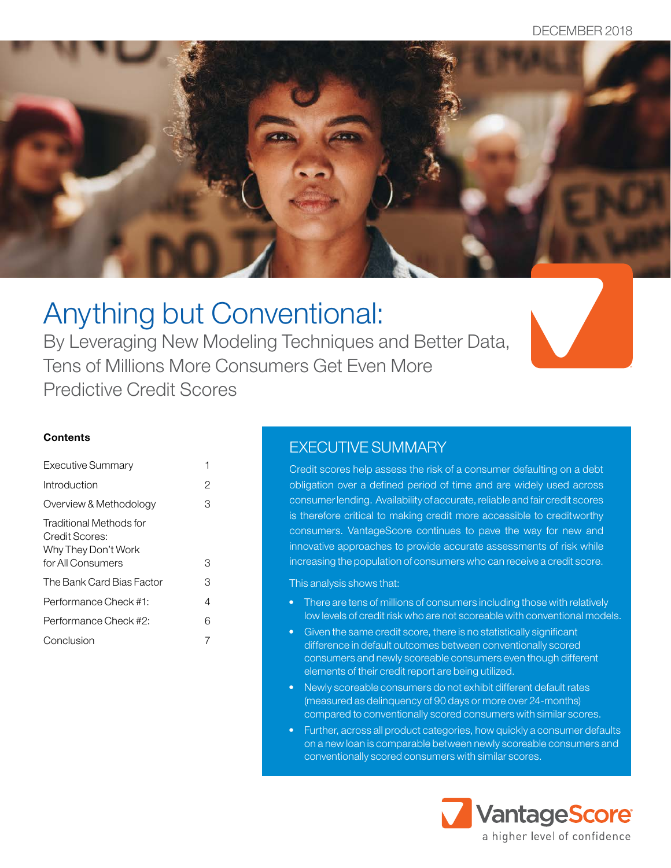

# Anything but Conventional:

By Leveraging New Modeling Techniques and Better Data, Tens of Millions More Consumers Get Even More Predictive Credit Scores



### **Contents**

| Executive Summary                                                                     | 1 |
|---------------------------------------------------------------------------------------|---|
| Introduction                                                                          | 2 |
| Overview & Methodology                                                                | З |
| Traditional Methods for<br>Credit Scores:<br>Why They Don't Work<br>for All Consumers | З |
| The Bank Card Bias Factor                                                             | З |
| Performance Check #1:                                                                 | 4 |
| Performance Check #2:                                                                 | 6 |
| Conclusion                                                                            |   |

### EXECUTIVE SUMMARY

Credit scores help assess the risk of a consumer defaulting on a debt obligation over a defined period of time and are widely used across consumer lending. Availability of accurate, reliable and fair credit scores is therefore critical to making credit more accessible to creditworthy consumers. VantageScore continues to pave the way for new and innovative approaches to provide accurate assessments of risk while increasing the population of consumers who can receive a credit score.

### This analysis shows that:

- There are tens of millions of consumers including those with relatively low levels of credit risk who are not scoreable with conventional models.
- Given the same credit score, there is no statistically significant difference in default outcomes between conventionally scored consumers and newly scoreable consumers even though different elements of their credit report are being utilized.
- Newly scoreable consumers do not exhibit different default rates (measured as delinquency of 90 days or more over 24-months) compared to conventionally scored consumers with similar scores.
- Further, across all product categories, how quickly a consumer defaults on a new loan is comparable between newly scoreable consumers and conventionally scored consumers with similar scores.

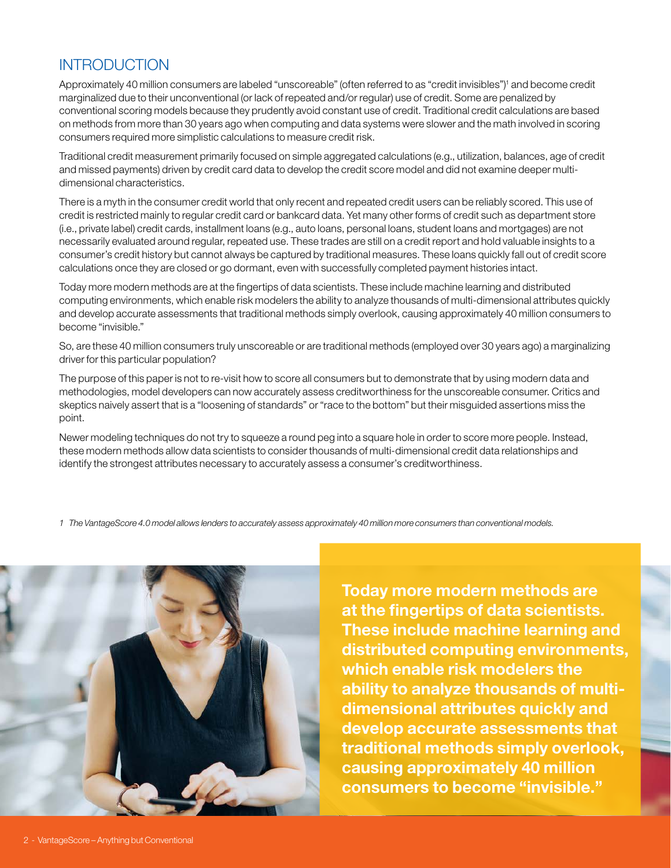# <span id="page-1-0"></span>INTRODUCTION

Approximately 40 million consumers are labeled "unscoreable" (often referred to as "credit invisibles")<sup>1</sup> and become credit marginalized due to their unconventional (or lack of repeated and/or regular) use of credit. Some are penalized by conventional scoring models because they prudently avoid constant use of credit. Traditional credit calculations are based on methods from more than 30 years ago when computing and data systems were slower and the math involved in scoring consumers required more simplistic calculations to measure credit risk.

Traditional credit measurement primarily focused on simple aggregated calculations (e.g., utilization, balances, age of credit and missed payments) driven by credit card data to develop the credit score model and did not examine deeper multidimensional characteristics.

There is a myth in the consumer credit world that only recent and repeated credit users can be reliably scored. This use of credit is restricted mainly to regular credit card or bankcard data. Yet many other forms of credit such as department store (i.e., private label) credit cards, installment loans (e.g., auto loans, personal loans, student loans and mortgages) are not necessarily evaluated around regular, repeated use. These trades are still on a credit report and hold valuable insights to a consumer's credit history but cannot always be captured by traditional measures. These loans quickly fall out of credit score calculations once they are closed or go dormant, even with successfully completed payment histories intact.

Today more modern methods are at the fingertips of data scientists. These include machine learning and distributed computing environments, which enable risk modelers the ability to analyze thousands of multi-dimensional attributes quickly and develop accurate assessments that traditional methods simply overlook, causing approximately 40 million consumers to become "invisible."

So, are these 40 million consumers truly unscoreable or are traditional methods (employed over 30 years ago) a marginalizing driver for this particular population?

The purpose of this paper is not to re-visit how to score all consumers but to demonstrate that by using modern data and methodologies, model developers can now accurately assess creditworthiness for the unscoreable consumer. Critics and skeptics naively assert that is a "loosening of standards" or "race to the bottom" but their misguided assertions miss the point.

Newer modeling techniques do not try to squeeze a round peg into a square hole in order to score more people. Instead, these modern methods allow data scientists to consider thousands of multi-dimensional credit data relationships and identify the strongest attributes necessary to accurately assess a consumer's creditworthiness.

*1 The VantageScore 4.0 model allows lenders to accurately assess approximately 40 million more consumers than conventional models.*



Today more modern methods are at the fingertips of data scientists. These include machine learning and distributed computing environments, which enable risk modelers the ability to analyze thousands of multidimensional attributes quickly and develop accurate assessments that traditional methods simply overlook, causing approximately 40 million consumers to become "invisible."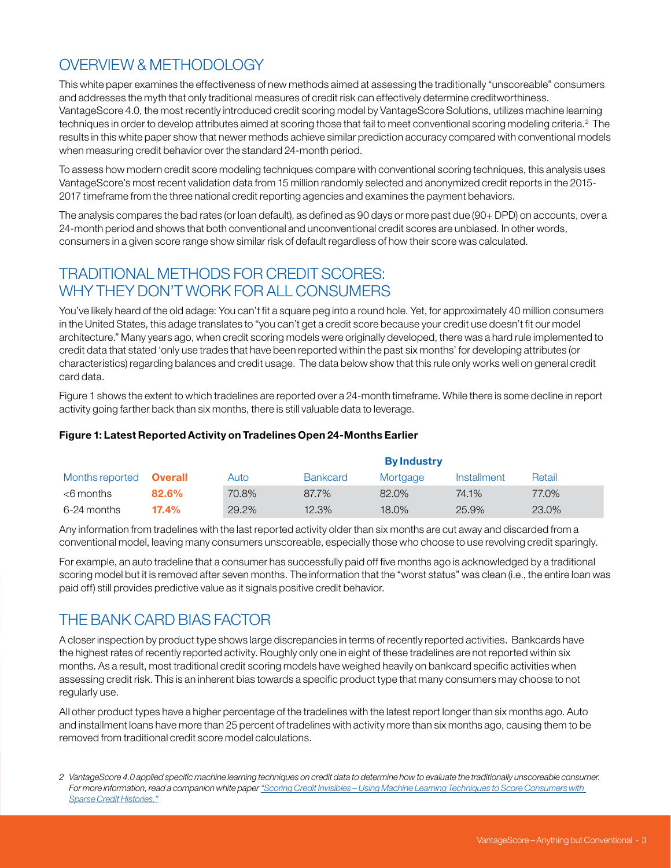# <span id="page-2-0"></span>OVERVIEW & METHODOLOGY

This white paper examines the effectiveness of new methods aimed at assessing the traditionally "unscoreable" consumers and addresses the myth that only traditional measures of credit risk can effectively determine creditworthiness. VantageScore 4.0, the most recently introduced credit scoring model by VantageScore Solutions, utilizes machine learning techniques in order to develop attributes aimed at scoring those that fail to meet conventional scoring modeling criteria.<sup>2</sup> The results in this white paper show that newer methods achieve similar prediction accuracy compared with conventional models when measuring credit behavior over the standard 24-month period.

To assess how modern credit score modeling techniques compare with conventional scoring techniques, this analysis uses VantageScore's most recent validation data from 15 million randomly selected and anonymized credit reports in the 2015- 2017 timeframe from the three national credit reporting agencies and examines the payment behaviors.

The analysis compares the bad rates (or loan default), as defined as 90 days or more past due (90+ DPD) on accounts, over a 24-month period and shows that both conventional and unconventional credit scores are unbiased. In other words, consumers in a given score range show similar risk of default regardless of how their score was calculated.

# TRADITIONAL METHODS FOR CREDIT SCORES: WHY THEY DON'T WORK FOR ALL CONSUMERS

You've likely heard of the old adage: You can't fit a square peg into a round hole. Yet, for approximately 40 million consumers in the United States, this adage translates to "you can't get a credit score because your credit use doesn't fit our model architecture." Many years ago, when credit scoring models were originally developed, there was a hard rule implemented to credit data that stated 'only use trades that have been reported within the past six months' for developing attributes (or characteristics) regarding balances and credit usage. The data below show that this rule only works well on general credit card data.

Figure 1 shows the extent to which tradelines are reported over a 24-month timeframe. While there is some decline in report activity going farther back than six months, there is still valuable data to leverage.

### Figure 1: Latest Reported Activity on Tradelines Open 24-Months Earlier

|                 |                | <b>By Industry</b> |                 |          |             |        |  |
|-----------------|----------------|--------------------|-----------------|----------|-------------|--------|--|
| Months reported | <b>Overall</b> | Auto               | <b>Bankcard</b> | Mortgage | Installment | Retail |  |
| <6 months       | 82.6%          | 70.8%              | 87.7%           | 82.0%    | 74.1%       | 77.0%  |  |
| 6-24 months     | 17.4%          | 29.2%              | 12.3%           | 18.0%    | 25.9%       | 23.0%  |  |

Any information from tradelines with the last reported activity older than six months are cut away and discarded from a conventional model, leaving many consumers unscoreable, especially those who choose to use revolving credit sparingly.

For example, an auto tradeline that a consumer has successfully paid off five months ago is acknowledged by a traditional scoring model but it is removed after seven months. The information that the "worst status" was clean (i.e., the entire loan was paid off) still provides predictive value as it signals positive credit behavior.

### THE BANK CARD BIAS FACTOR

A closer inspection by product type shows large discrepancies in terms of recently reported activities. Bankcards have the highest rates of recently reported activity. Roughly only one in eight of these tradelines are not reported within six months. As a result, most traditional credit scoring models have weighed heavily on bankcard specific activities when assessing credit risk. This is an inherent bias towards a specific product type that many consumers may choose to not regularly use.

All other product types have a higher percentage of the tradelines with the latest report longer than six months ago. Auto and installment loans have more than 25 percent of tradelines with activity more than six months ago, causing them to be removed from traditional credit score model calculations.

*<sup>2</sup> VantageScore 4.0 applied specific machine learning techniques on credit data to determine how to evaluate the traditionally unscoreable consumer. For more information, read a companion white paper ["Scoring Credit Invisibles – Using Machine Learning Techniques to Score Consumers with](https://www.vantagescore.com/resource/174/scoring-credit-invisibles-using-machine-learning-techniques)  [Sparse Credit Histories."](https://www.vantagescore.com/resource/174/scoring-credit-invisibles-using-machine-learning-techniques)*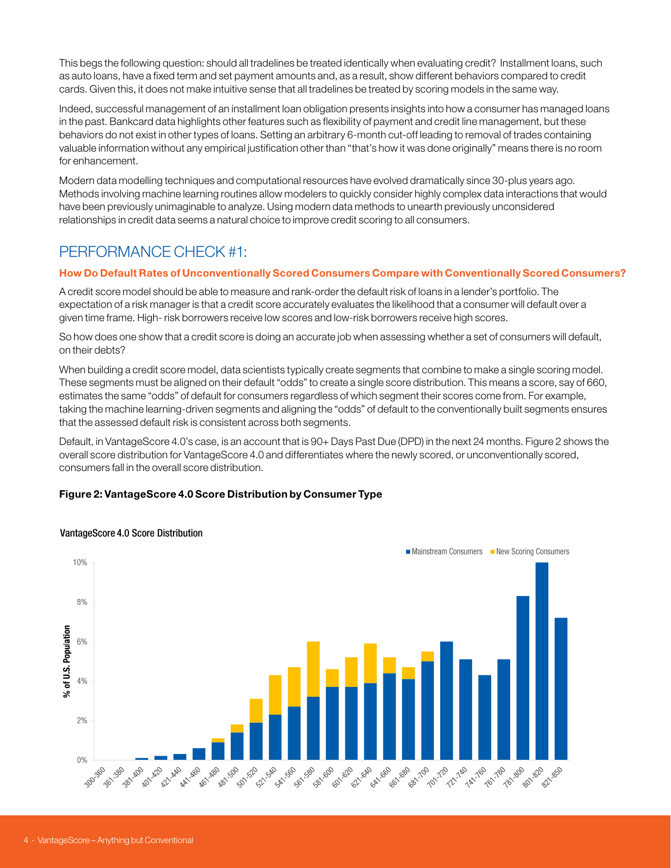<span id="page-3-0"></span>This begs the following question: should all tradelines be treated identically when evaluating credit? Installment loans, such as auto loans, have a fixed term and set payment amounts and, as a result, show different behaviors compared to credit cards. Given this, it does not make intuitive sense that all tradelines be treated by scoring models in the same way.

Indeed, successful management of an installment loan obligation presents insights into how a consumer has managed loans in the past. Bankcard data highlights other features such as flexibility of payment and credit line management, but these behaviors do not exist in other types of loans. Setting an arbitrary 6-month cut-off leading to removal of trades containing valuable information without any empirical justification other than "that's how it was done originally" means there is no room for enhancement.

Modern data modelling techniques and computational resources have evolved dramatically since 30-plus years ago. Methods involving machine learning routines allow modelers to quickly consider highly complex data interactions that would have been previously unimaginable to analyze. Using modern data methods to unearth previously unconsidered relationships in credit data seems a natural choice to improve credit scoring to all consumers.

# PERFORMANCE CHECK #1:

### How Do Default Rates of Unconventionally Scored Consumers Compare with Conventionally Scored Consumers?

A credit score model should be able to measure and rank-order the default risk of loans in a lender's portfolio. The expectation of a risk manager is that a credit score accurately evaluates the likelihood that a consumer will default over a given time frame. High- risk borrowers receive low scores and low-risk borrowers receive high scores.

So how does one show that a credit score is doing an accurate job when assessing whether a set of consumers will default, on their debts?

When building a credit score model, data scientists typically create segments that combine to make a single scoring model. These segments must be aligned on their default "odds" to create a single score distribution. This means a score, say of 660, estimates the same "odds" of default for consumers regardless of which segment their scores come from. For example, taking the machine learning-driven segments and aligning the "odds" of default to the conventionally built segments ensures that the assessed default risk is consistent across both segments.

Default, in VantageScore 4.0's case, is an account that is 90+ Days Past Due (DPD) in the next 24 months. Figure 2 shows the overall score distribution for VantageScore 4.0 and differentiates where the newly scored, or unconventionally scored, consumers fall in the overall score distribution.

### Figure 2: VantageScore 4.0 Score Distribution by Consumer Type



### VantageScore 4.0 Score Distribution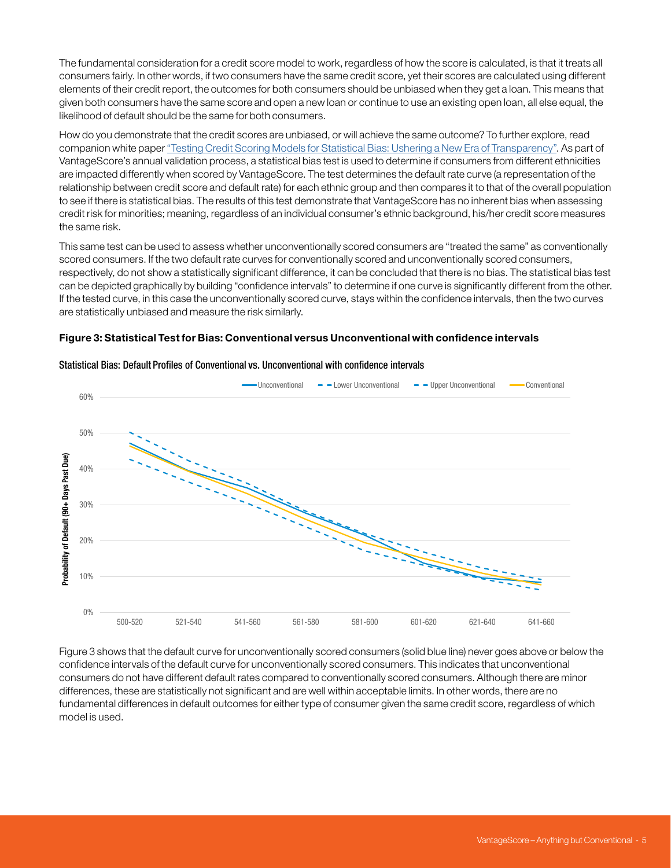<span id="page-4-0"></span>The fundamental consideration for a credit score model to work, regardless of how the score is calculated, is that it treats all consumers fairly. In other words, if two consumers have the same credit score, yet their scores are calculated using different elements of their credit report, the outcomes for both consumers should be unbiased when they get a loan. This means that given both consumers have the same score and open a new loan or continue to use an existing open loan, all else equal, the likelihood of default should be the same for both consumers.

How do you demonstrate that the credit scores are unbiased, or will achieve the same outcome? To further explore, read companion white paper ["Testing Credit Scoring Models for Statistical Bias: Ushering a New Era of Transparency".](https://www.vantagescore.com/resource/249/testing-credit-scoring-models-statistical-bias-ushering-new) As part of VantageScore's annual validation process, a statistical bias test is used to determine if consumers from different ethnicities are impacted differently when scored by VantageScore. The test determines the default rate curve (a representation of the relationship between credit score and default rate) for each ethnic group and then compares it to that of the overall population to see if there is statistical bias. The results of this test demonstrate that VantageScore has no inherent bias when assessing credit risk for minorities; meaning, regardless of an individual consumer's ethnic background, his/her credit score measures the same risk.

This same test can be used to assess whether unconventionally scored consumers are "treated the same" as conventionally scored consumers. If the two default rate curves for conventionally scored and unconventionally scored consumers, respectively, do not show a statistically significant difference, it can be concluded that there is no bias. The statistical bias test can be depicted graphically by building "confidence intervals" to determine if one curve is significantly different from the other. If the tested curve, in this case the unconventionally scored curve, stays within the confidence intervals, then the two curves are statistically unbiased and measure the risk similarly.





#### Statistical Bias: Default Profiles of Conventional vs. Unconventional with confidence intervals

Figure 3 shows that the default curve for unconventionally scored consumers (solid blue line) never goes above or below the confidence intervals of the default curve for unconventionally scored consumers. This indicates that unconventional consumers do not have different default rates compared to conventionally scored consumers. Although there are minor differences, these are statistically not significant and are well within acceptable limits. In other words, there are no fundamental differences in default outcomes for either type of consumer given the same credit score, regardless of which model is used.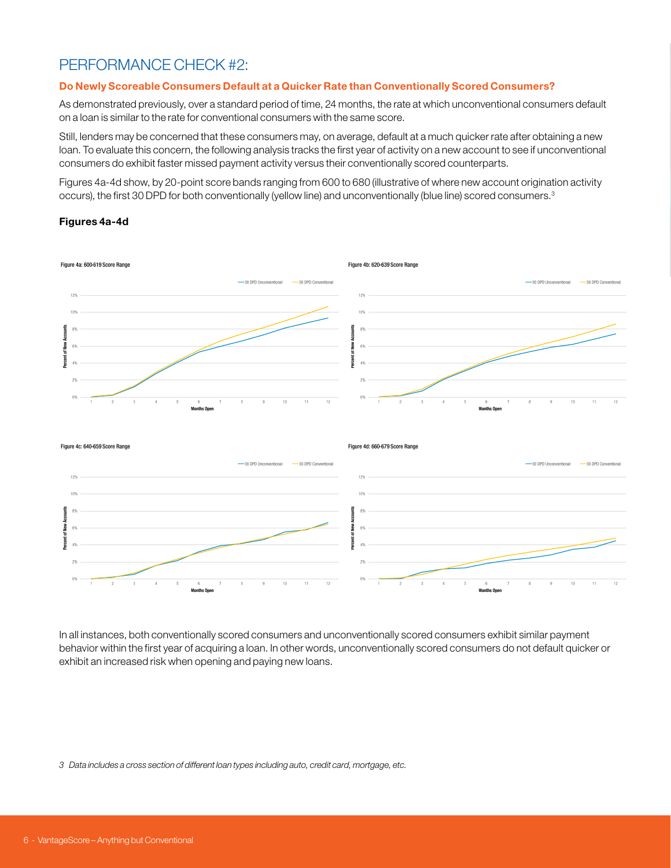# <span id="page-5-0"></span>PERFORMANCE CHECK #2:

#### Do Newly Scoreable Consumers Default at a Quicker Rate than Conventionally Scored Consumers?

As demonstrated previously, over a standard period of time, 24 months, the rate at which unconventional consumers default on a loan is similar to the rate for conventional consumers with the same score.

Still, lenders may be concerned that these consumers may, on average, default at a much quicker rate after obtaining a new loan. To evaluate this concern, the following analysis tracks the first year of activity on a new account to see if unconventional consumers do exhibit faster missed payment activity versus their conventionally scored counterparts.

Figures 4a-4d show, by 20-point score bands ranging from 600 to 680 (illustrative of where new account origination activity occurs), the first 30 DPD for both conventionally (yellow line) and unconventionally (blue line) scored consumers.3

#### Figures 4a-4d



In all instances, both conventionally scored consumers and unconventionally scored consumers exhibit similar payment behavior within the first year of acquiring a loan. In other words, unconventionally scored consumers do not default quicker or exhibit an increased risk when opening and paying new loans.

*3 Data includes a cross section of different loan types including auto, credit card, mortgage, etc.*